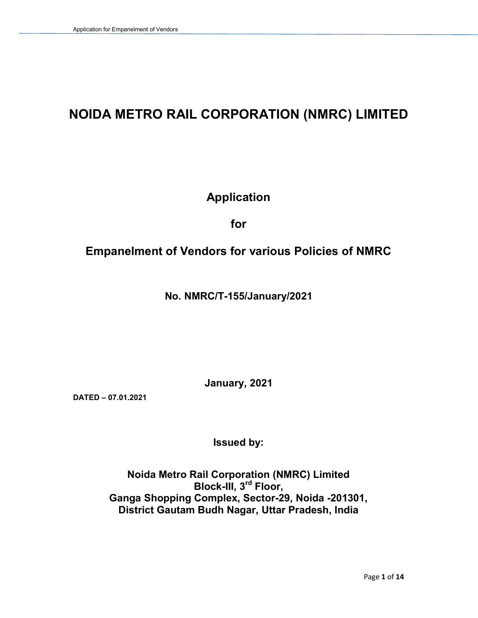# NOIDA METRO RAIL CORPORATION (NMRC) LIMITED

# Application

for

## Empanelment of Vendors for various Policies of NMRC

No. NMRC/T-155/January/2021

January, 2021

DATED – 07.01.2021

Issued by:

Noida Metro Rail Corporation (NMRC) Limited Block-III, 3<sup>rd</sup> Floor, Ganga Shopping Complex, Sector-29, Noida -201301, District Gautam Budh Nagar, Uttar Pradesh, India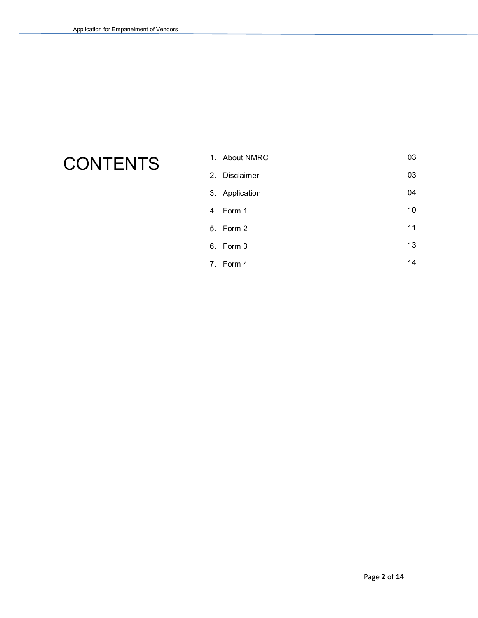# **CONTENTS**

| 1. About NMRC  | 03 |
|----------------|----|
| 2. Disclaimer  | 03 |
| 3. Application | 04 |
| 4. Form 1      | 10 |
| 5. Form 2      | 11 |
| 6. Form 3      | 13 |

7. Form 4

Page 2 of 14

14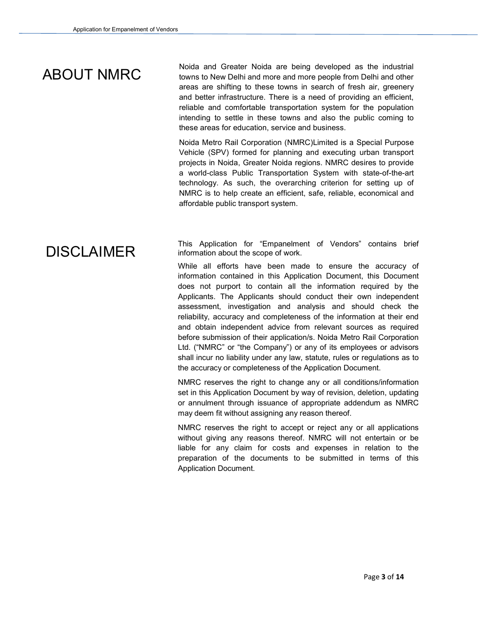Noida and Greater Noida are being developed as the industrial<br>ABOUT NMRC towns to New Delhi and more and more people from Delhi and other areas are shifting to these towns in search of fresh air, greenery and better infrastructure. There is a need of providing an efficient, reliable and comfortable transportation system for the population intending to settle in these towns and also the public coming to these areas for education, service and business.

> Noida Metro Rail Corporation (NMRC)Limited is a Special Purpose Vehicle (SPV) formed for planning and executing urban transport projects in Noida, Greater Noida regions. NMRC desires to provide a world-class Public Transportation System with state-of-the-art technology. As such, the overarching criterion for setting up of NMRC is to help create an efficient, safe, reliable, economical and affordable public transport system.

# DISCLAIMER

This Application for "Empanelment of Vendors" contains brief information about the scope of work.

While all efforts have been made to ensure the accuracy of information contained in this Application Document, this Document does not purport to contain all the information required by the Applicants. The Applicants should conduct their own independent assessment, investigation and analysis and should check the reliability, accuracy and completeness of the information at their end and obtain independent advice from relevant sources as required before submission of their application/s. Noida Metro Rail Corporation Ltd. ("NMRC" or "the Company") or any of its employees or advisors shall incur no liability under any law, statute, rules or regulations as to the accuracy or completeness of the Application Document.

NMRC reserves the right to change any or all conditions/information set in this Application Document by way of revision, deletion, updating or annulment through issuance of appropriate addendum as NMRC may deem fit without assigning any reason thereof.

NMRC reserves the right to accept or reject any or all applications without giving any reasons thereof. NMRC will not entertain or be liable for any claim for costs and expenses in relation to the preparation of the documents to be submitted in terms of this Application Document.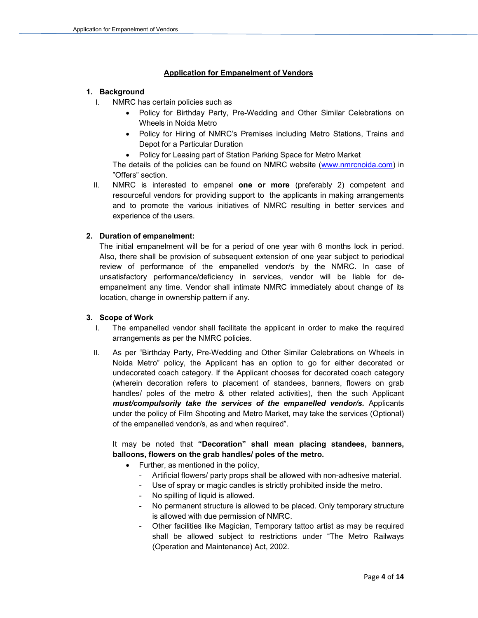#### Application for Empanelment of Vendors

#### 1. Background

- I. NMRC has certain policies such as
	- Policy for Birthday Party, Pre-Wedding and Other Similar Celebrations on Wheels in Noida Metro
	- Policy for Hiring of NMRC's Premises including Metro Stations, Trains and Depot for a Particular Duration
	- Policy for Leasing part of Station Parking Space for Metro Market

The details of the policies can be found on NMRC website (www.nmrcnoida.com) in "Offers" section.

II. NMRC is interested to empanel one or more (preferably 2) competent and resourceful vendors for providing support to the applicants in making arrangements and to promote the various initiatives of NMRC resulting in better services and experience of the users.

#### 2. Duration of empanelment:

The initial empanelment will be for a period of one year with 6 months lock in period. Also, there shall be provision of subsequent extension of one year subject to periodical review of performance of the empanelled vendor/s by the NMRC. In case of unsatisfactory performance/deficiency in services, vendor will be liable for deempanelment any time. Vendor shall intimate NMRC immediately about change of its location, change in ownership pattern if any.

#### 3. Scope of Work

- I. The empanelled vendor shall facilitate the applicant in order to make the required arrangements as per the NMRC policies.
- II. As per "Birthday Party, Pre-Wedding and Other Similar Celebrations on Wheels in Noida Metro" policy, the Applicant has an option to go for either decorated or undecorated coach category. If the Applicant chooses for decorated coach category (wherein decoration refers to placement of standees, banners, flowers on grab handles/ poles of the metro & other related activities), then the such Applicant must/compulsorily take the services of the empanelled vendor/s. Applicants under the policy of Film Shooting and Metro Market, may take the services (Optional) of the empanelled vendor/s, as and when required".

It may be noted that "Decoration" shall mean placing standees, banners, balloons, flowers on the grab handles/ poles of the metro.

- $\bullet$  Further, as mentioned in the policy,
	- Artificial flowers/ party props shall be allowed with non-adhesive material.
	- Use of spray or magic candles is strictly prohibited inside the metro.
	- No spilling of liquid is allowed.
	- No permanent structure is allowed to be placed. Only temporary structure is allowed with due permission of NMRC.
	- Other facilities like Magician, Temporary tattoo artist as may be required shall be allowed subject to restrictions under "The Metro Railways (Operation and Maintenance) Act, 2002.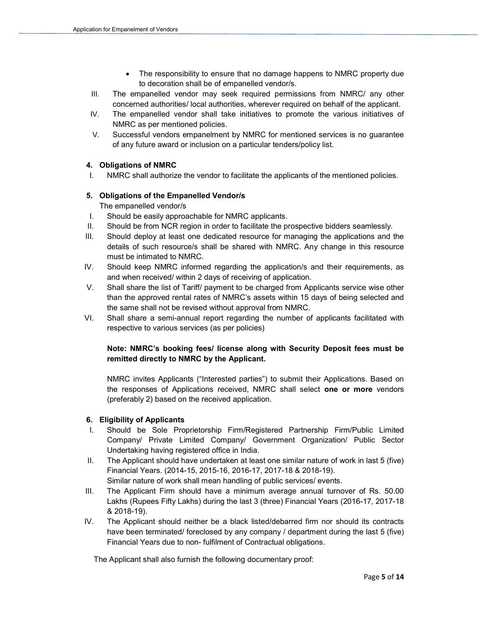- The responsibility to ensure that no damage happens to NMRC property due to decoration shall be of empanelled vendor/s.
- III. The empanelled vendor may seek required permissions from NMRC/ any other concerned authorities/ local authorities, wherever required on behalf of the applicant.
- IV. The empanelled vendor shall take initiatives to promote the various initiatives of NMRC as per mentioned policies.
- V. Successful vendors empanelment by NMRC for mentioned services is no guarantee of any future award or inclusion on a particular tenders/policy list.

#### 4. Obligations of NMRC

I. NMRC shall authorize the vendor to facilitate the applicants of the mentioned policies.

#### 5. Obligations of the Empanelled Vendor/s

The empanelled vendor/s

- I. Should be easily approachable for NMRC applicants.
- II. Should be from NCR region in order to facilitate the prospective bidders seamlessly.
- III. Should deploy at least one dedicated resource for managing the applications and the details of such resource/s shall be shared with NMRC. Any change in this resource must be intimated to NMRC.
- IV. Should keep NMRC informed regarding the application/s and their requirements, as and when received/ within 2 days of receiving of application.
- V. Shall share the list of Tariff/ payment to be charged from Applicants service wise other than the approved rental rates of NMRC's assets within 15 days of being selected and the same shall not be revised without approval from NMRC.
- VI. Shall share a semi-annual report regarding the number of applicants facilitated with respective to various services (as per policies)

#### Note: NMRC's booking fees/ license along with Security Deposit fees must be remitted directly to NMRC by the Applicant.

NMRC invites Applicants ("Interested parties") to submit their Applications. Based on the responses of Applications received, NMRC shall select one or more vendors (preferably 2) based on the received application.

#### 6. Eligibility of Applicants

- I. Should be Sole Proprietorship Firm/Registered Partnership Firm/Public Limited Company/ Private Limited Company/ Government Organization/ Public Sector Undertaking having registered office in India.
- II. The Applicant should have undertaken at least one similar nature of work in last 5 (five) Financial Years. (2014-15, 2015-16, 2016-17, 2017-18 & 2018-19). Similar nature of work shall mean handling of public services/ events.
- III. The Applicant Firm should have a minimum average annual turnover of Rs. 50.00 Lakhs (Rupees Fifty Lakhs) during the last 3 (three) Financial Years (2016-17, 2017-18 & 2018-19).
- IV. The Applicant should neither be a black listed/debarred firm nor should its contracts have been terminated/ foreclosed by any company / department during the last 5 (five) Financial Years due to non- fulfilment of Contractual obligations.

The Applicant shall also furnish the following documentary proof: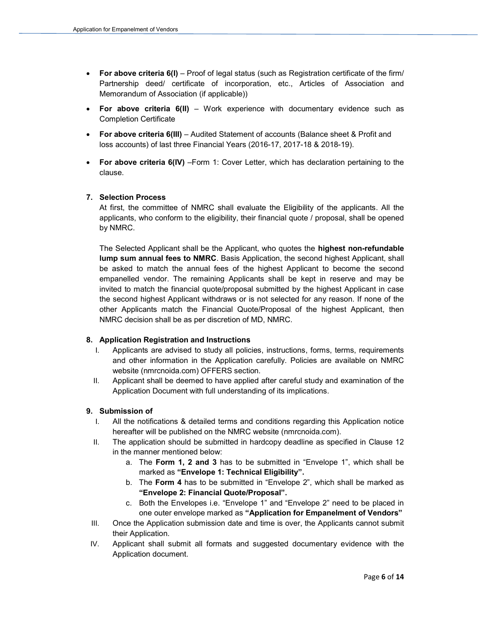- For above criteria 6(I) Proof of legal status (such as Registration certificate of the firm/ Partnership deed/ certificate of incorporation, etc., Articles of Association and Memorandum of Association (if applicable))
- For above criteria  $6(II)$  Work experience with documentary evidence such as Completion Certificate
- For above criteria 6(III) Audited Statement of accounts (Balance sheet & Profit and loss accounts) of last three Financial Years (2016-17, 2017-18 & 2018-19).
- For above criteria 6(IV) Form 1: Cover Letter, which has declaration pertaining to the clause.

#### 7. Selection Process

At first, the committee of NMRC shall evaluate the Eligibility of the applicants. All the applicants, who conform to the eligibility, their financial quote / proposal, shall be opened by NMRC.

The Selected Applicant shall be the Applicant, who quotes the highest non-refundable lump sum annual fees to NMRC. Basis Application, the second highest Applicant, shall be asked to match the annual fees of the highest Applicant to become the second empanelled vendor. The remaining Applicants shall be kept in reserve and may be invited to match the financial quote/proposal submitted by the highest Applicant in case the second highest Applicant withdraws or is not selected for any reason. If none of the other Applicants match the Financial Quote/Proposal of the highest Applicant, then NMRC decision shall be as per discretion of MD, NMRC.

#### 8. Application Registration and Instructions

- I. Applicants are advised to study all policies, instructions, forms, terms, requirements and other information in the Application carefully. Policies are available on NMRC website (nmrcnoida.com) OFFERS section.
- II. Applicant shall be deemed to have applied after careful study and examination of the Application Document with full understanding of its implications.

#### 9. Submission of

- I. All the notifications & detailed terms and conditions regarding this Application notice hereafter will be published on the NMRC website (nmrcnoida.com).
- II. The application should be submitted in hardcopy deadline as specified in Clause 12 in the manner mentioned below:
	- a. The Form 1, 2 and 3 has to be submitted in "Envelope 1", which shall be marked as "Envelope 1: Technical Eligibility".
	- b. The Form 4 has to be submitted in "Envelope 2", which shall be marked as "Envelope 2: Financial Quote/Proposal".
	- c. Both the Envelopes i.e. "Envelope 1" and "Envelope 2" need to be placed in one outer envelope marked as "Application for Empanelment of Vendors"
- III. Once the Application submission date and time is over, the Applicants cannot submit their Application.
- IV. Applicant shall submit all formats and suggested documentary evidence with the Application document.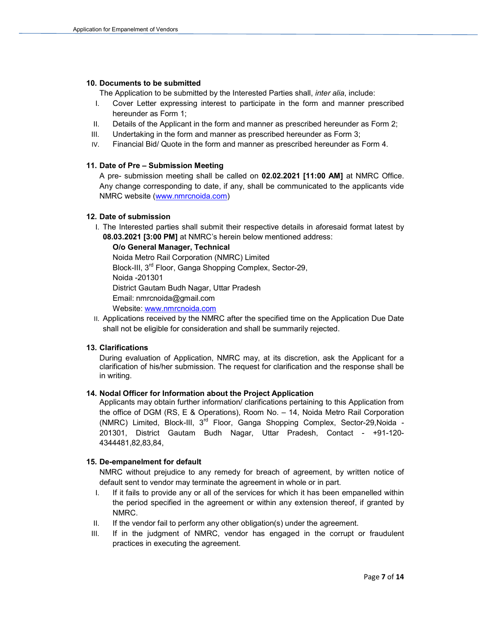#### 10. Documents to be submitted

The Application to be submitted by the Interested Parties shall, *inter alia*, include:

- I. Cover Letter expressing interest to participate in the form and manner prescribed hereunder as Form 1;
- II. Details of the Applicant in the form and manner as prescribed hereunder as Form 2;
- III. Undertaking in the form and manner as prescribed hereunder as Form 3;
- IV. Financial Bid/ Quote in the form and manner as prescribed hereunder as Form 4.

#### 11. Date of Pre – Submission Meeting

A pre- submission meeting shall be called on 02.02.2021 [11:00 AM] at NMRC Office. Any change corresponding to date, if any, shall be communicated to the applicants vide NMRC website (www.nmrcnoida.com)

#### 12. Date of submission

I. The Interested parties shall submit their respective details in aforesaid format latest by 08.03.2021 [3:00 PM] at NMRC's herein below mentioned address:

#### O/o General Manager, Technical

Noida Metro Rail Corporation (NMRC) Limited Block-III, 3<sup>rd</sup> Floor, Ganga Shopping Complex, Sector-29, Noida -201301 District Gautam Budh Nagar, Uttar Pradesh Email: nmrcnoida@gmail.com Website: www.nmrcnoida.com

II. Applications received by the NMRC after the specified time on the Application Due Date shall not be eligible for consideration and shall be summarily rejected.

#### 13. Clarifications

During evaluation of Application, NMRC may, at its discretion, ask the Applicant for a clarification of his/her submission. The request for clarification and the response shall be in writing.

#### 14. Nodal Officer for Information about the Project Application

Applicants may obtain further information/ clarifications pertaining to this Application from the office of DGM (RS, E & Operations), Room No. – 14, Noida Metro Rail Corporation (NMRC) Limited, Block-III, 3rd Floor, Ganga Shopping Complex, Sector-29,Noida - 201301, District Gautam Budh Nagar, Uttar Pradesh, Contact - +91-120- 4344481,82,83,84,

#### 15. De-empanelment for default

NMRC without prejudice to any remedy for breach of agreement, by written notice of default sent to vendor may terminate the agreement in whole or in part.

- I. If it fails to provide any or all of the services for which it has been empanelled within the period specified in the agreement or within any extension thereof, if granted by NMRC.
- II. If the vendor fail to perform any other obligation(s) under the agreement.
- III. If in the judgment of NMRC, vendor has engaged in the corrupt or fraudulent practices in executing the agreement.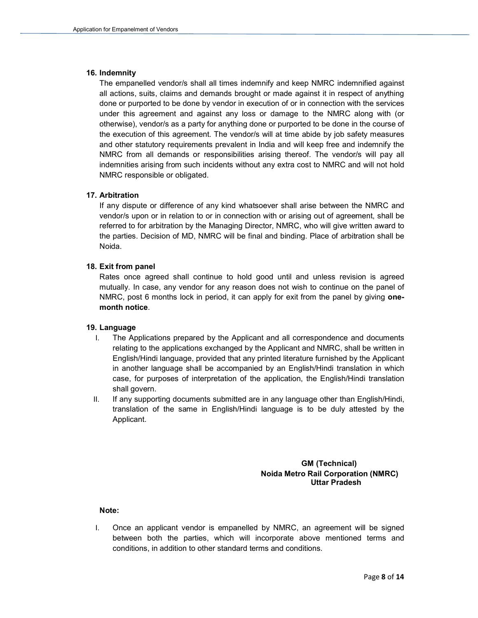#### 16. Indemnity

The empanelled vendor/s shall all times indemnify and keep NMRC indemnified against all actions, suits, claims and demands brought or made against it in respect of anything done or purported to be done by vendor in execution of or in connection with the services under this agreement and against any loss or damage to the NMRC along with (or otherwise), vendor/s as a party for anything done or purported to be done in the course of the execution of this agreement. The vendor/s will at time abide by job safety measures and other statutory requirements prevalent in India and will keep free and indemnify the otherwise), vendor/s as a party for anything done or purported to be done in the course of<br>the execution of this agreement. The vendor/s will at time abide by job safety measures<br>and other statutory requirements prevalent indemnities arising from such incidents without any extra cost to NMRC and will not hold NMRC responsible or obligated. mnify and keep NMRC indemnified against<br>ht or made against it in respect of anything<br>ecution of or in connection with the services<br>s or damage to the NMRC along with (or MRC and will not hold<br>tween the NMRC and

#### 17. Arbitration

NMRC responsible or obligated.<br>**Arbitration**<br>If any dispute or difference of any kind whatsoever shall arise between the NMRC and vendor/s upon or in relation to or in connection with or arising out of agreement, shall be vendor/s upon or in relation to or in connection with or arising out of agreement, shall be<br>referred to for arbitration by the Managing Director, NMRC, who will give written award to the parties. Decision of MD, NMRC will be final and binding. Place of arbitration shall be Noida. upon or in relation to or in connection with or arising out of agreement, shall be<br>o for arbitration by the Managing Director, NMRC, who will give written award to<br>s. Decision of MD, NMRC will be final and binding. Place o

#### 18. Exit from panel

Rates once agreed shall continue to hold good until and unless revision is Rates mutually. In case, any vendor for any reason does not wish to continue on the panel of NMRC, post 6 months lock in period, it can apply for exit from the panel by giving **one**month notice.

#### 19. Language

- I. The Applications prepared by the Applicant and all correspondence and documents relating to the applications exchanged by the Applicant and NMRC, shall be written in English/Hindi language, provided that any printed literature furnished by the Applicant in another language shall be accompanied by an English/Hindi translation in which case, for purposes of interpretation of the application, the English/Hindi translation shall govern. bicant and all correspondence and documents<br>by the Applicant and NMRC, shall be written in<br>any printed literature furnished by the Applicant<br>anied by an English/Hindi translation in which<br>of the application, the English/Hi
- II. If any supporting documents submitted are in any language other than English English/Hindi, If any supporting documents submitted are in any language other than English/Hindi,<br>translation of the same in English/Hindi language is to be duly attested by the Applicant.

#### GM (Technical) Noida Metro Rail Corporation (NMRC) Uttar Pradesh

#### Note:

I. Once an applicant vendor is empanelled by NMRC, an agreement will be signed between both the parties, which will incorporate above mentioned terms and<br>conditions, in addition to other standard terms and conditions. conditions, in addition to other standard terms and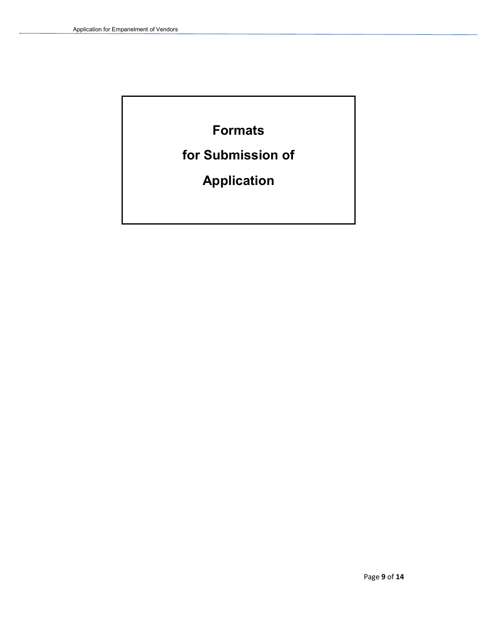Formats

for Submission of

Application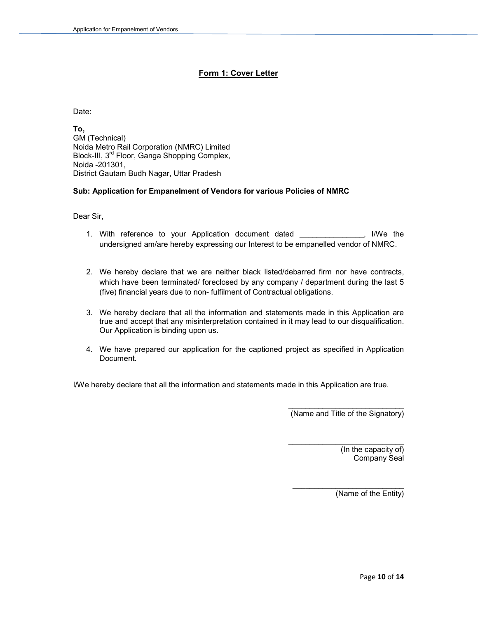#### Form 1: Cover Letter

Date:

To, GM (Technical) Noida Metro Rail Corporation (NMRC) Limited Block-III, 3rd Floor, Ganga Shopping Complex, Noida -201301, District Gautam Budh Nagar, Uttar Pradesh

#### Sub: Application for Empanelment of Vendors for various Policies of NMRC

Dear Sir,

- 1. With reference to your Application document dated \_\_\_\_\_\_\_\_\_\_\_\_\_\_\_, I/We the undersigned am/are hereby expressing our Interest to be empanelled vendor of NMRC.
- 2. We hereby declare that we are neither black listed/debarred firm nor have contracts, which have been terminated/ foreclosed by any company / department during the last 5 (five) financial years due to non- fulfilment of Contractual obligations.
- 3. We hereby declare that all the information and statements made in this Application are true and accept that any misinterpretation contained in it may lead to our disqualification. Our Application is binding upon us.
- 4. We have prepared our application for the captioned project as specified in Application Document.

I/We hereby declare that all the information and statements made in this Application are true.

(Name and Title of the Signatory)

\_\_\_\_\_\_\_\_\_\_\_\_\_\_\_\_\_\_\_\_\_\_\_\_\_\_\_

(In the capacity of) Company Seal

(Name of the Entity)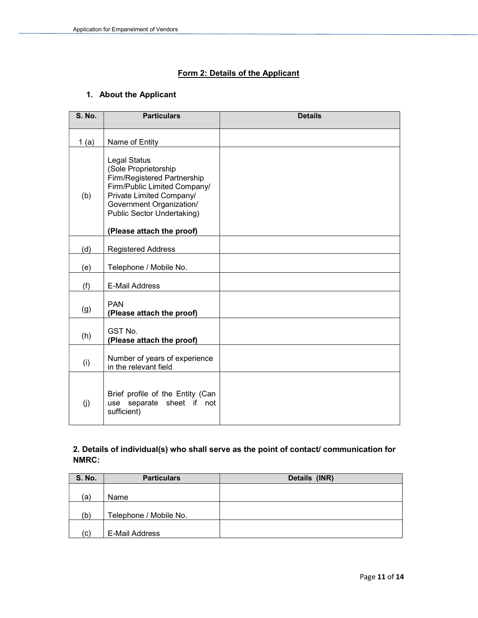#### Form 2: Details of the Applicant

### 1. About the Applicant

| <b>S. No.</b> | <b>Particulars</b>                                                                                                                                                                                                            | <b>Details</b> |
|---------------|-------------------------------------------------------------------------------------------------------------------------------------------------------------------------------------------------------------------------------|----------------|
| 1(a)          | Name of Entity                                                                                                                                                                                                                |                |
| (b)           | <b>Legal Status</b><br>(Sole Proprietorship<br>Firm/Registered Partnership<br>Firm/Public Limited Company/<br>Private Limited Company/<br>Government Organization/<br>Public Sector Undertaking)<br>(Please attach the proof) |                |
|               |                                                                                                                                                                                                                               |                |
| (d)           | <b>Registered Address</b>                                                                                                                                                                                                     |                |
| (e)           | Telephone / Mobile No.                                                                                                                                                                                                        |                |
| (f)           | <b>E-Mail Address</b>                                                                                                                                                                                                         |                |
| (g)           | <b>PAN</b><br>(Please attach the proof)                                                                                                                                                                                       |                |
| (h)           | GST No.<br>(Please attach the proof)                                                                                                                                                                                          |                |
| (i)           | Number of years of experience<br>in the relevant field                                                                                                                                                                        |                |
| (i)           | Brief profile of the Entity (Can<br>use separate sheet if not<br>sufficient)                                                                                                                                                  |                |

#### 2. Details of individual(s) who shall serve as the point of contact/ communication for NMRC:

| <b>S. No.</b> | <b>Particulars</b>     | Details (INR) |
|---------------|------------------------|---------------|
|               |                        |               |
| (a)           | Name                   |               |
| (b)           | Telephone / Mobile No. |               |
| (c)           | E-Mail Address         |               |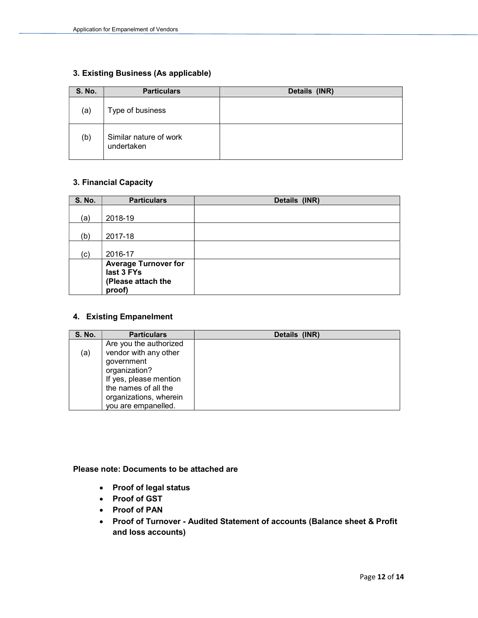#### 3. Existing Business (As applicable)

| <b>S. No.</b> | <b>Particulars</b>                   | Details (INR) |
|---------------|--------------------------------------|---------------|
| (a)           | Type of business                     |               |
| (b)           | Similar nature of work<br>undertaken |               |

#### 3. Financial Capacity

| <b>S. No.</b> | <b>Particulars</b>          | Details (INR) |
|---------------|-----------------------------|---------------|
|               |                             |               |
| (a)           | 2018-19                     |               |
|               |                             |               |
| (b)           | 2017-18                     |               |
|               |                             |               |
| (c)           | 2016-17                     |               |
|               | <b>Average Turnover for</b> |               |
|               | last 3 FYs                  |               |
|               | (Please attach the          |               |
|               | proof)                      |               |

#### 4. Existing Empanelment

| <b>S. No.</b> | <b>Particulars</b>                                                                                                                                                                | Details (INR) |
|---------------|-----------------------------------------------------------------------------------------------------------------------------------------------------------------------------------|---------------|
| (a)           | Are you the authorized<br>vendor with any other<br>government<br>organization?<br>If yes, please mention<br>the names of all the<br>organizations, wherein<br>you are empanelled. |               |

#### Please note: Documents to be attached are

- Proof of legal status
- Proof of GST
- Proof of PAN
- Proof of Turnover Audited Statement of accounts (Balance sheet & Profit and loss accounts)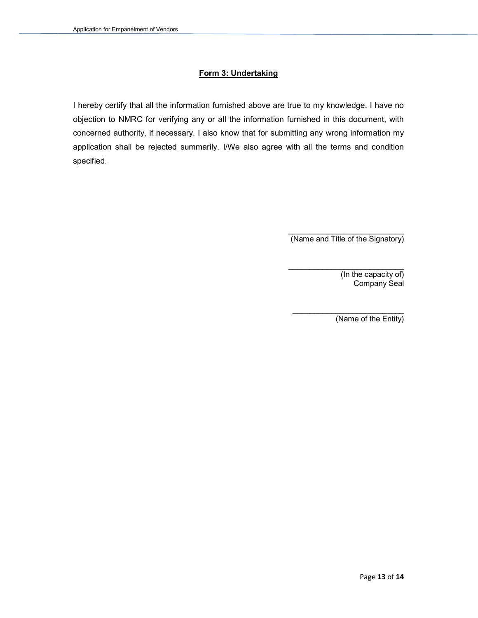#### Form 3: Undertaking

I hereby certify that all the information furnished above are true to my knowledge. I have no objection to NMRC for verifying any or all the information furnished in this document, with concerned authority, if necessary. I also know that for submitting any wrong information my application shall be rejected summarily. I/We also agree with all the terms and condition specified.

> \_\_\_\_\_\_\_\_\_\_\_\_\_\_\_\_\_\_\_\_\_\_\_\_\_\_\_ (Name and Title of the Signatory)

> > (In the capacity of) Company Seal

\_\_\_\_\_\_\_\_\_\_\_\_\_\_\_\_\_\_\_\_\_\_\_\_\_\_ (Name of the Entity)